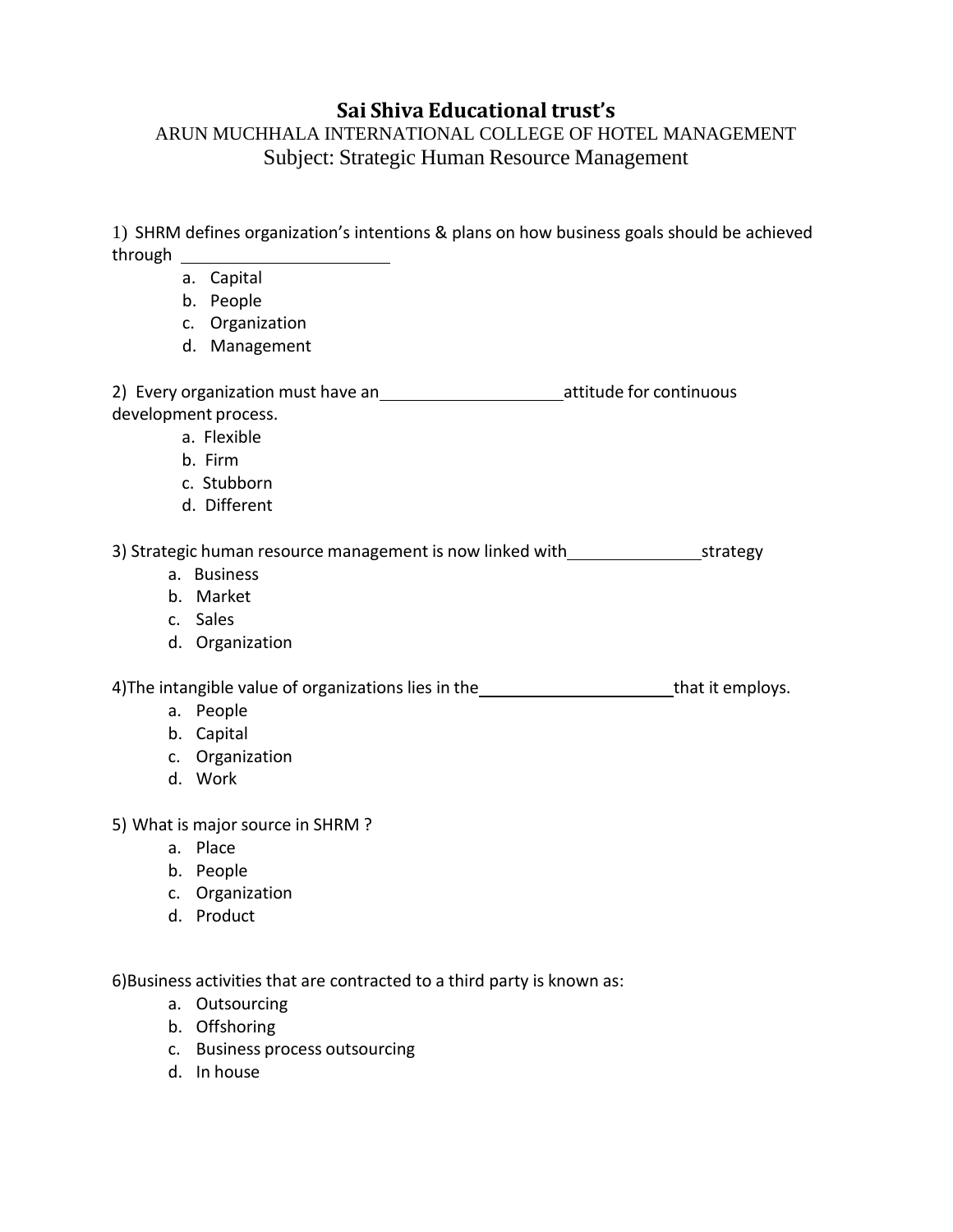# **Sai Shiva Educational trust's**

# ARUN MUCHHALA INTERNATIONAL COLLEGE OF HOTEL MANAGEMENT Subject: Strategic Human Resource Management

1) SHRM defines organization's intentions & plans on how business goals should be achieved through

- a. Capital
- b. People
- c. Organization
- d. Management

2) Every organization must have an 120 minuous attitude for continuous development process.

- a. Flexible
- b. Firm
- c. Stubborn
- d. Different

3) Strategic human resource management is now linked with strategy strategy

- a. Business
- b. Market
- c. Sales
- d. Organization

4) The intangible value of organizations lies in the that it employs.

- a. People
- b. Capital
- c. Organization
- d. Work
- 5) What is major source in SHRM ?
	- a. Place
	- b. People
	- c. Organization
	- d. Product

6)Business activities that are contracted to a third party is known as:

- a. Outsourcing
- b. Offshoring
- c. Business process outsourcing
- d. In house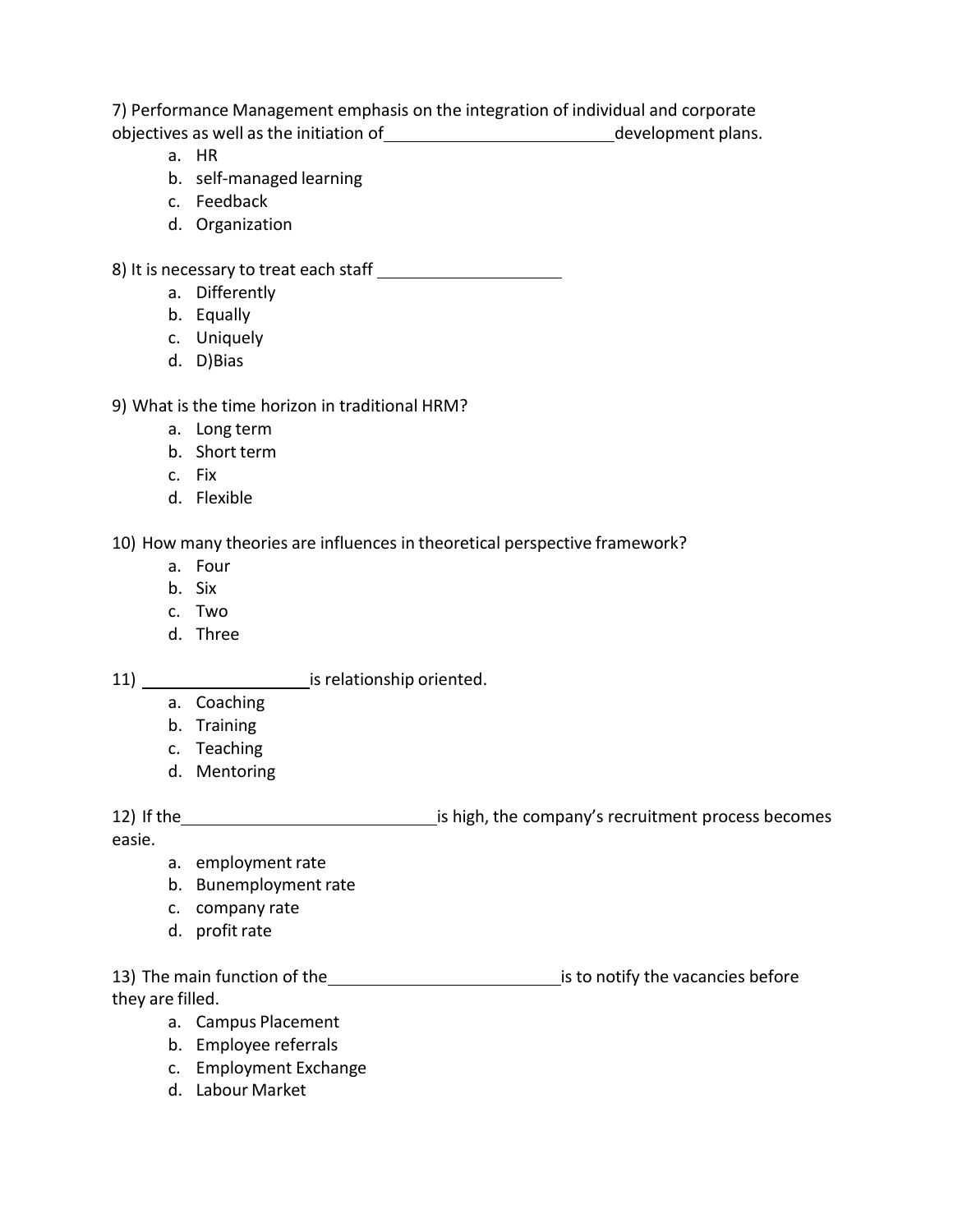7) Performance Management emphasis on the integration of individual and corporate objectives as well as the initiation of 1.000 minimum extends the development plans.

- a. HR
- b. self-managed learning
- c. Feedback
- d. Organization

8) It is necessary to treat each staff

- a. Differently
- b. Equally
- c. Uniquely
- d. D)Bias

## 9) What is the time horizon in traditional HRM?

- a. Long term
- b. Short term
- c. Fix
- d. Flexible

10) How many theories are influences in theoretical perspective framework?

- a. Four
- b. Six
- c. Two
- d. Three

11) is relationship oriented.

- a. Coaching
- b. Training
- c. Teaching
- d. Mentoring

12) If the interest is high, the company's recruitment process becomes

easie.

- a. employment rate
- b. Bunemployment rate
- c. company rate
- d. profit rate

13) The main function of the interest and is to notify the vacancies before they are filled.

- a. Campus Placement
- b. Employee referrals
- c. Employment Exchange
- d. Labour Market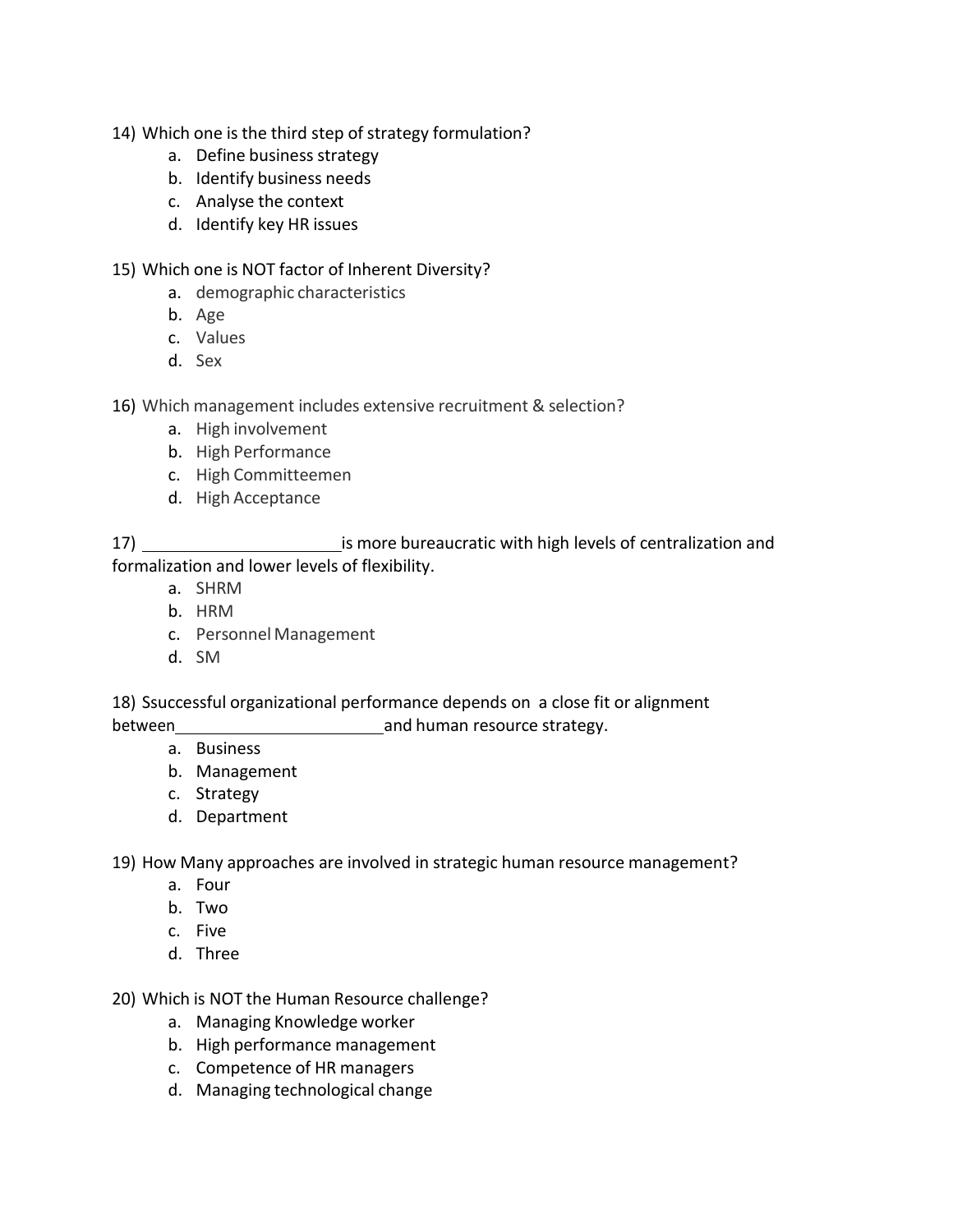- 14) Which one is the third step of strategy formulation?
	- a. Define business strategy
	- b. Identify business needs
	- c. Analyse the context
	- d. Identify key HR issues

### 15) Which one is NOT factor of Inherent Diversity?

- a. demographic characteristics
- b. Age
- c. Values
- d. Sex

16) Which management includes extensive recruitment & selection?

- a. High involvement
- b. High Performance
- c. High Committeemen
- d. High Acceptance

17) 17 is more bureaucratic with high levels of centralization and formalization and lower levels of flexibility.

- a. SHRM
- b. HRM
- c. Personnel Management
- d. SM

18) Ssuccessful organizational performance depends on a close fit or alignment between **between** and human resource strategy.

- a. Business
- b. Management
- c. Strategy
- d. Department

19) How Many approaches are involved in strategic human resource management?

- a. Four
- b. Two
- c. Five
- d. Three

20) Which is NOT the Human Resource challenge?

- a. Managing Knowledge worker
- b. High performance management
- c. Competence of HR managers
- d. Managing technological change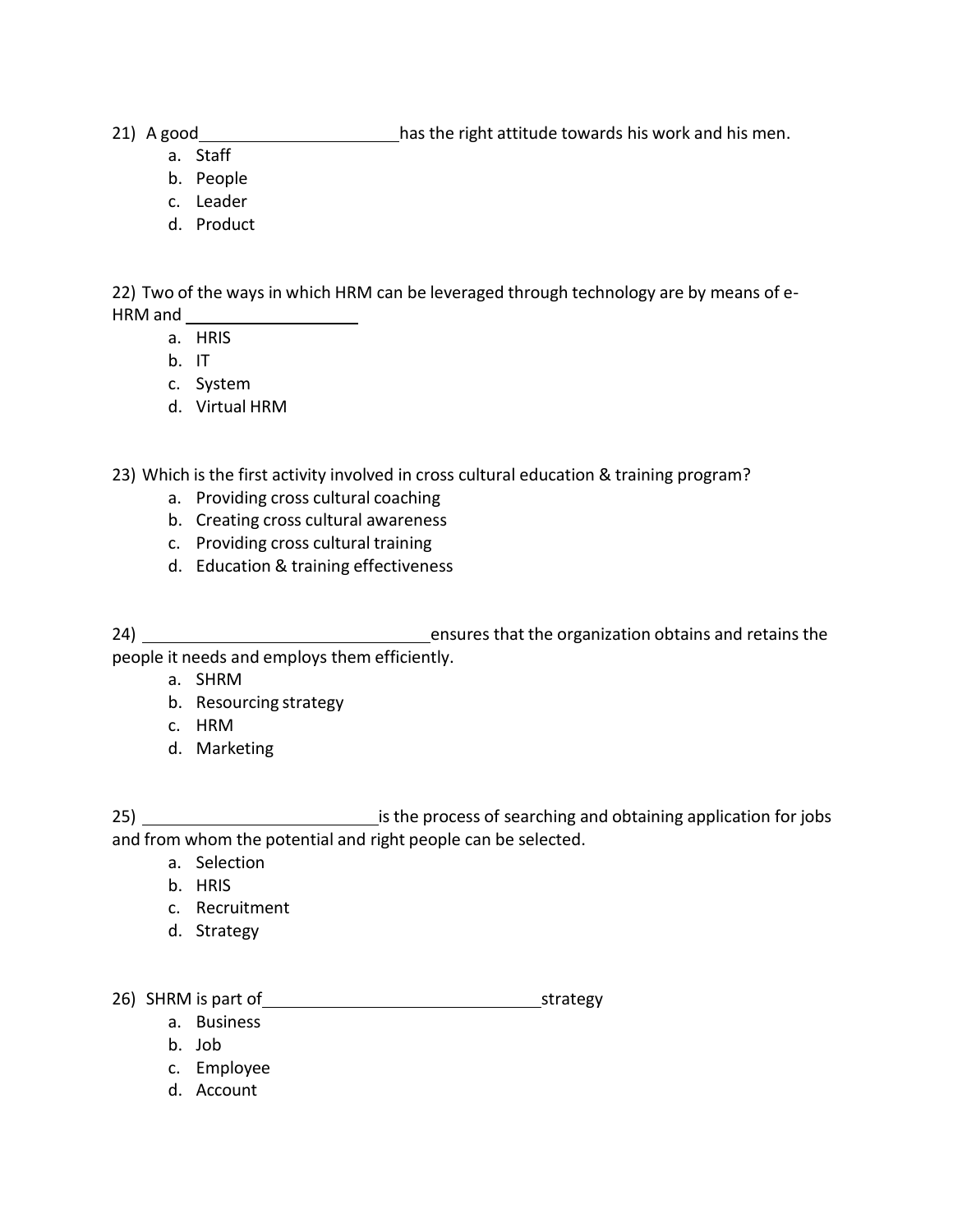21) A good has the right attitude towards his work and his men.

- a. Staff
- b. People
- c. Leader
- d. Product

22) Two of the ways in which HRM can be leveraged through technology are by means of e-HRM and

- a. HRIS
- b. IT
- c. System
- d. Virtual HRM

23) Which is the first activity involved in cross cultural education & training program?

- a. Providing cross cultural coaching
- b. Creating cross cultural awareness
- c. Providing cross cultural training
- d. Education & training effectiveness

24) **ensures that the organization obtains and retains the** people it needs and employs them efficiently.

- a. SHRM
- b. Resourcing strategy
- c. HRM
- d. Marketing

- a. Selection
- b. HRIS
- c. Recruitment
- d. Strategy

26) SHRM is part of strategy strategy

- a. Business
- b. Job
- c. Employee
- d. Account

<sup>25)</sup> is the process of searching and obtaining application for jobs and from whom the potential and right people can be selected.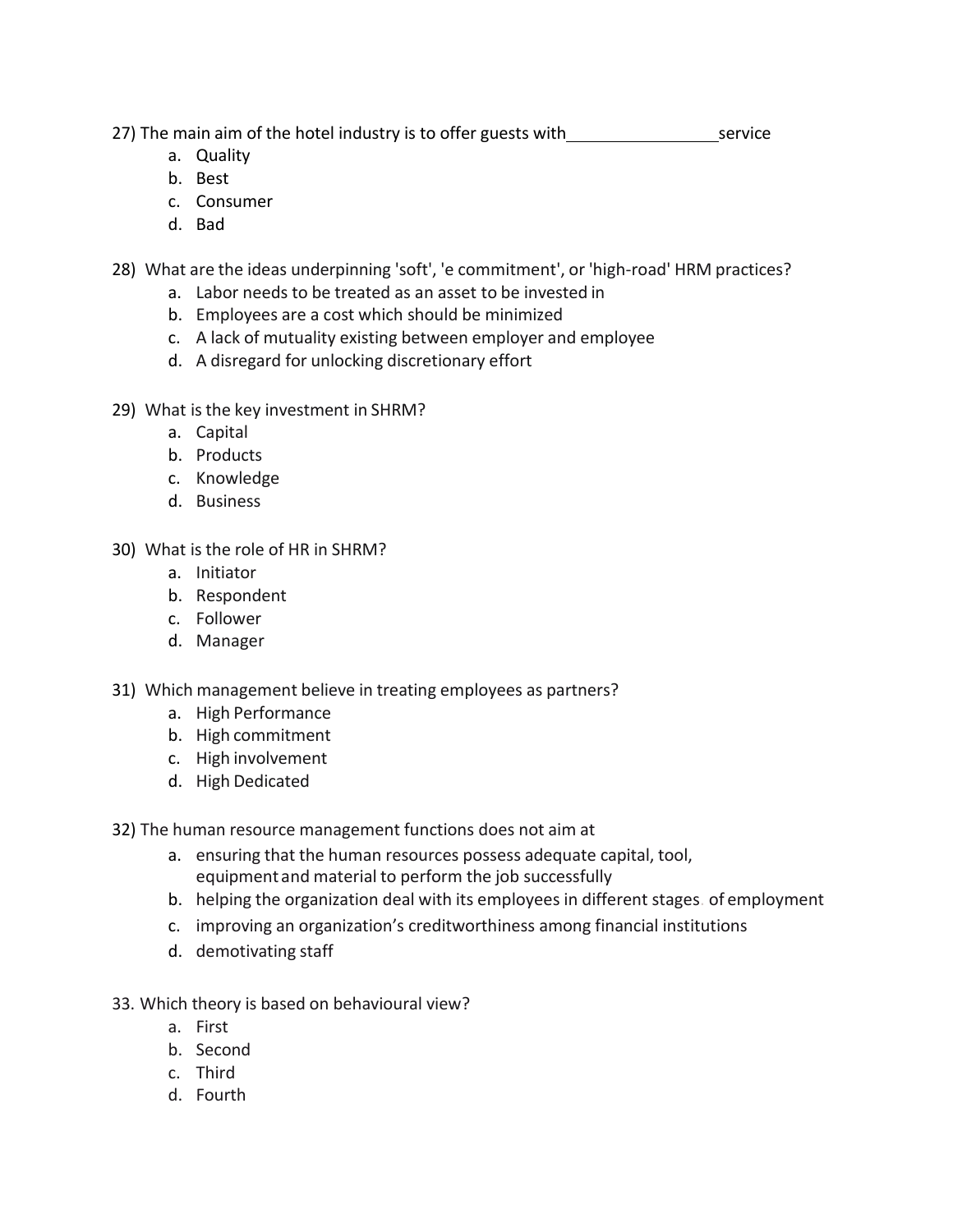27) The main aim of the hotel industry is to offer guests with service

- a. Quality
- b. Best
- c. Consumer
- d. Bad

28) What are the ideas underpinning 'soft', 'e commitment', or 'high-road' HRM practices?

- a. Labor needs to be treated as an asset to be invested in
- b. Employees are a cost which should be minimized
- c. A lack of mutuality existing between employer and employee
- d. A disregard for unlocking discretionary effort
- 29) What is the key investment in SHRM?
	- a. Capital
	- b. Products
	- c. Knowledge
	- d. Business
- 30) What is the role of HR in SHRM?
	- a. Initiator
	- b. Respondent
	- c. Follower
	- d. Manager
- 31) Which management believe in treating employees as partners?
	- a. High Performance
	- b. High commitment
	- c. High involvement
	- d. High Dedicated

32) The human resource management functions does not aim at

- a. ensuring that the human resources possess adequate capital, tool, equipmentand material to perform the job successfully
- b. helping the organization deal with its employees in different stages. of employment
- c. improving an organization's creditworthiness among financial institutions
- d. demotivating staff
- 33. Which theory is based on behavioural view?
	- a. First
	- b. Second
	- c. Third
	- d. Fourth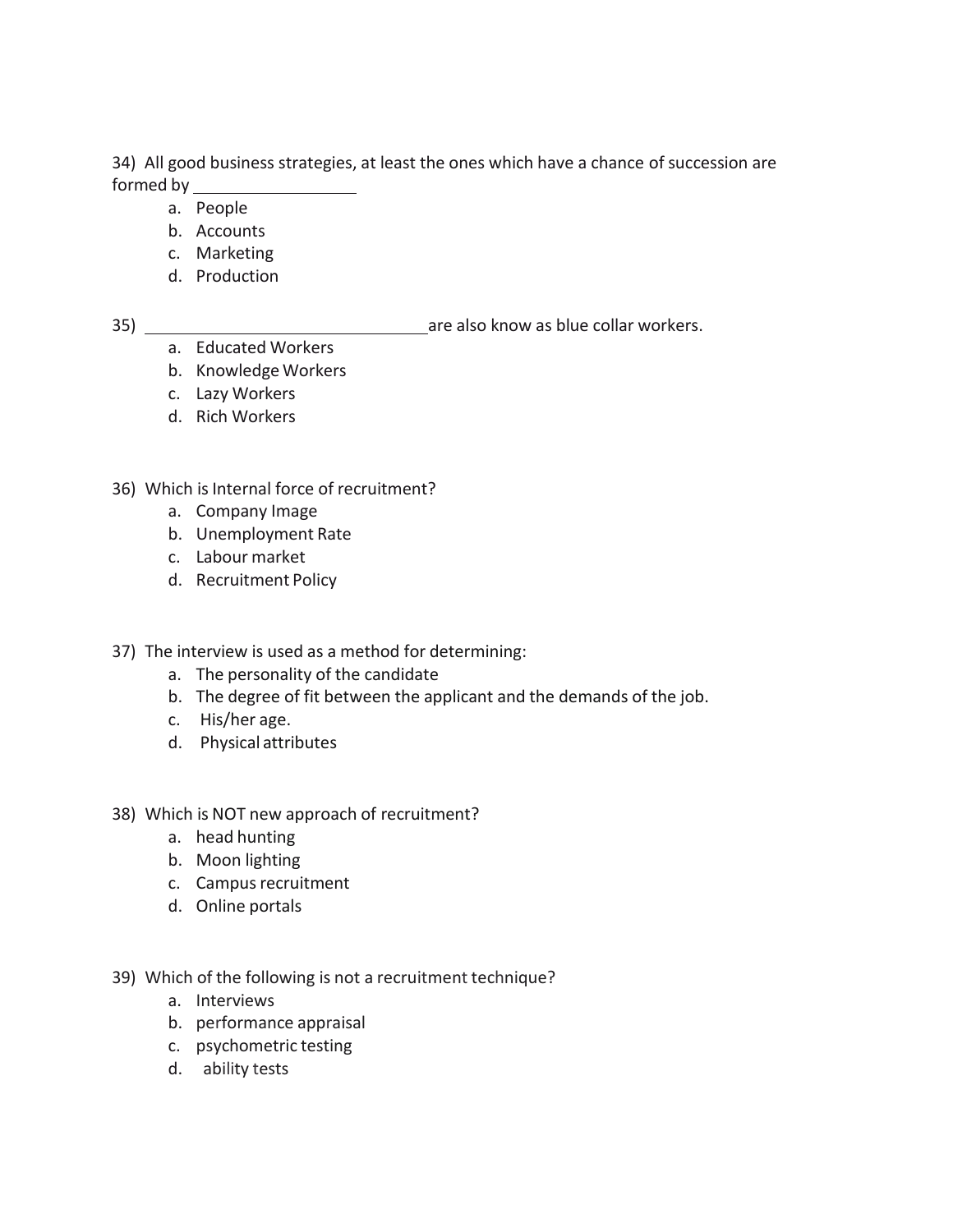34) All good business strategies, at least the ones which have a chance of succession are formed by

- a. People
- b. Accounts
- c. Marketing
- d. Production

35) are also know as blue collar workers.

- a. Educated Workers
- b. Knowledge Workers
- c. Lazy Workers
- d. Rich Workers
- 36) Which is Internal force of recruitment?
	- a. Company Image
	- b. Unemployment Rate
	- c. Labour market
	- d. Recruitment Policy
- 37) The interview is used as a method for determining:
	- a. The personality of the candidate
	- b. The degree of fit between the applicant and the demands of the job.
	- c. His/her age.
	- d. Physical attributes
- 38) Which is NOT new approach of recruitment?
	- a. head hunting
	- b. Moon lighting
	- c. Campus recruitment
	- d. Online portals
- 39) Which of the following is not a recruitment technique?
	- a. Interviews
	- b. performance appraisal
	- c. psychometric testing
	- d. ability tests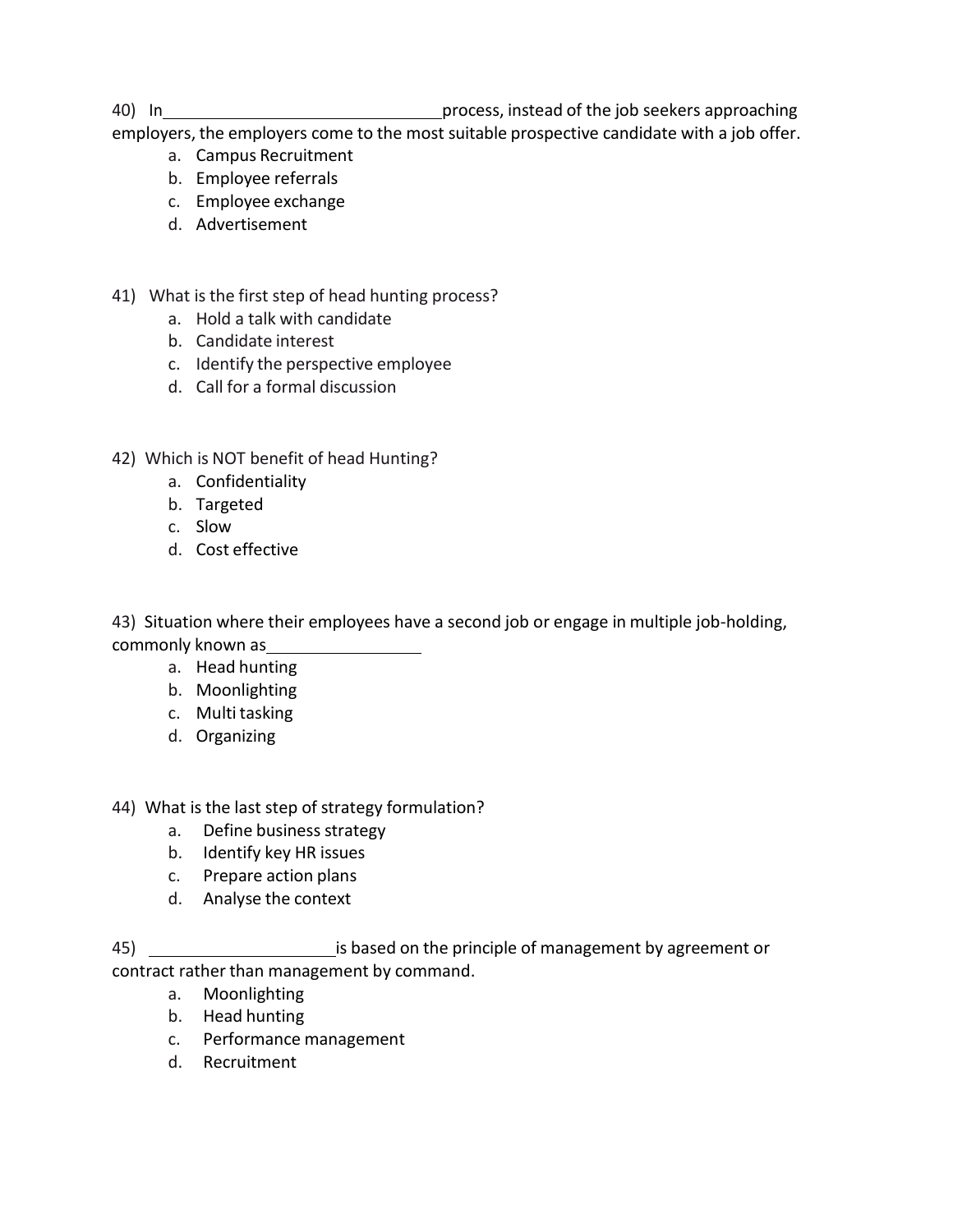40) In 1000 In process, instead of the job seekers approaching

employers, the employers come to the most suitable prospective candidate with a job offer.

- a. Campus Recruitment
- b. Employee referrals
- c. Employee exchange
- d. Advertisement
- 41) What is the first step of head hunting process?
	- a. Hold a talk with candidate
	- b. Candidate interest
	- c. Identify the perspective employee
	- d. Call for a formal discussion
- 42) Which is NOT benefit of head Hunting?
	- a. Confidentiality
	- b. Targeted
	- c. Slow
	- d. Cost effective

43) Situation where their employees have a second job or engage in multiple job-holding, commonly known as

- a. Head hunting
- b. Moonlighting
- c. Multi tasking
- d. Organizing

## 44) What is the last step of strategy formulation?

- a. Define business strategy
- b. Identify key HR issues
- c. Prepare action plans
- d. Analyse the context

45) **is based on the principle of management by agreement or** contract rather than management by command.

- a. Moonlighting
- b. Head hunting
- c. Performance management
- d. Recruitment